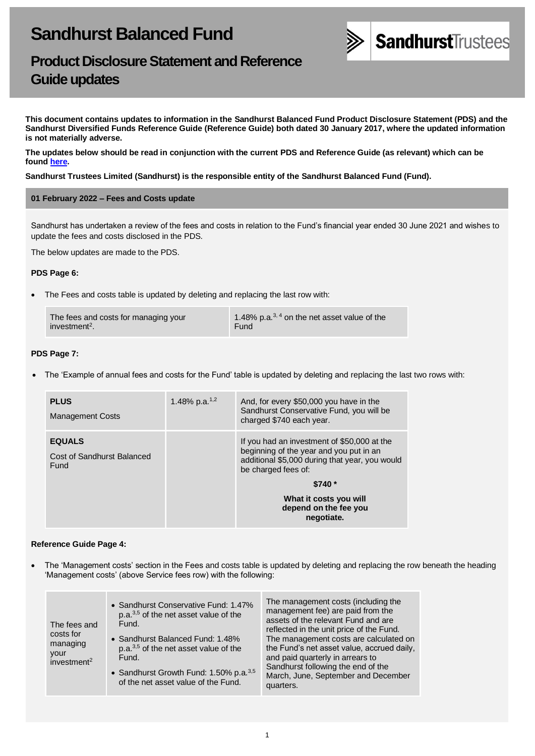

## **Product Disclosure Statement and Reference Guide updates**

**This document contains updates to information in the Sandhurst Balanced Fund Product Disclosure Statement (PDS) and the Sandhurst Diversified Funds Reference Guide (Reference Guide) both dated 30 January 2017, where the updated information is not materially adverse.** 

**The updates below should be read in conjunction with the current PDS and Reference Guide (as relevant) which can be found [here.](https://www.bendigobank.com.au/managedfundsforms)**

#### **Sandhurst Trustees Limited (Sandhurst) is the responsible entity of the Sandhurst Balanced Fund (Fund).**

#### **01 February 2022 – Fees and Costs update**

Sandhurst has undertaken a review of the fees and costs in relation to the Fund's financial year ended 30 June 2021 and wishes to update the fees and costs disclosed in the PDS.

The below updates are made to the PDS.

#### **PDS Page 6:**

• The Fees and costs table is updated by deleting and replacing the last row with:

| The fees and costs for managing your | 1.48% p.a. $^{3,4}$ on the net asset value of the |
|--------------------------------------|---------------------------------------------------|
| investment <sup>2</sup> .            | Fund                                              |

#### **PDS Page 7:**

• The 'Example of annual fees and costs for the Fund' table is updated by deleting and replacing the last two rows with:

| <b>PLUS</b><br><b>Management Costs</b>              | 1.48% p.a. $1,2$ | And, for every \$50,000 you have in the<br>Sandhurst Conservative Fund, you will be<br>charged \$740 each year.                                                 |
|-----------------------------------------------------|------------------|-----------------------------------------------------------------------------------------------------------------------------------------------------------------|
| <b>EQUALS</b><br>Cost of Sandhurst Balanced<br>Fund |                  | If you had an investment of \$50,000 at the<br>beginning of the year and you put in an<br>additional \$5,000 during that year, you would<br>be charged fees of: |
|                                                     |                  | $$740*$                                                                                                                                                         |
|                                                     |                  | What it costs you will<br>depend on the fee you<br>negotiate.                                                                                                   |

#### **Reference Guide Page 4:**

• The 'Management costs' section in the Fees and costs table is updated by deleting and replacing the row beneath the heading 'Management costs' (above Service fees row) with the following:

| The fees and<br>costs for<br>managing<br>your | • Sandhurst Conservative Fund: 1.47%<br>p.a. <sup>3,5</sup> of the net asset value of the<br>Fund.<br>• Sandhurst Balanced Fund: 1.48%<br>p.a. <sup>3,5</sup> of the net asset value of the<br>Fund. | The management costs (including the<br>management fee) are paid from the<br>assets of the relevant Fund and are<br>reflected in the unit price of the Fund.<br>The management costs are calculated on<br>the Fund's net asset value, accrued daily,<br>and paid quarterly in arrears to |
|-----------------------------------------------|------------------------------------------------------------------------------------------------------------------------------------------------------------------------------------------------------|-----------------------------------------------------------------------------------------------------------------------------------------------------------------------------------------------------------------------------------------------------------------------------------------|
| investment <sup>2</sup>                       |                                                                                                                                                                                                      | Sandhurst following the end of the                                                                                                                                                                                                                                                      |
|                                               | • Sandhurst Growth Fund: 1.50% p.a. <sup>3,5</sup><br>of the net asset value of the Fund.                                                                                                            | March, June, September and December<br>quarters.                                                                                                                                                                                                                                        |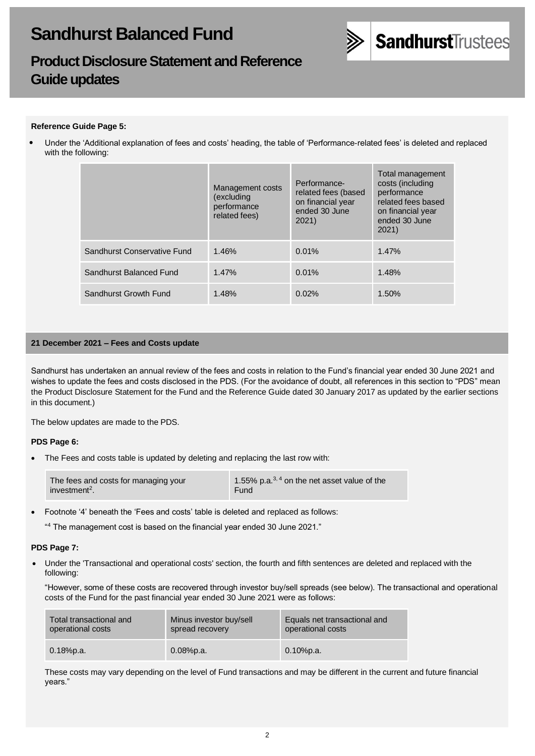

## **Product Disclosure Statement and Reference Guide updates**

## **Reference Guide Page 5:**

• Under the 'Additional explanation of fees and costs' heading, the table of 'Performance-related fees' is deleted and replaced with the following:

|                             | Management costs<br>(excluding<br>performance<br>related fees) | Performance-<br>related fees (based<br>on financial year<br>ended 30 June<br>2021) | Total management<br>costs (including<br>performance<br>related fees based<br>on financial year<br>ended 30 June<br>2021) |
|-----------------------------|----------------------------------------------------------------|------------------------------------------------------------------------------------|--------------------------------------------------------------------------------------------------------------------------|
| Sandhurst Conservative Fund | 1.46%                                                          | 0.01%                                                                              | 1.47%                                                                                                                    |
| Sandhurst Balanced Fund     | 1.47%                                                          | 0.01%                                                                              | 1.48%                                                                                                                    |
| Sandhurst Growth Fund       | 1.48%                                                          | 0.02%                                                                              | 1.50%                                                                                                                    |

## **21 December 2021 – Fees and Costs update**

Sandhurst has undertaken an annual review of the fees and costs in relation to the Fund's financial year ended 30 June 2021 and wishes to update the fees and costs disclosed in the PDS. (For the avoidance of doubt, all references in this section to "PDS" mean the Product Disclosure Statement for the Fund and the Reference Guide dated 30 January 2017 as updated by the earlier sections in this document.)

The below updates are made to the PDS.

#### **PDS Page 6:**

• The Fees and costs table is updated by deleting and replacing the last row with:

• Footnote '4' beneath the 'Fees and costs' table is deleted and replaced as follows:

" <sup>4</sup> The management cost is based on the financial year ended 30 June 2021."

#### **PDS Page 7:**

• Under the 'Transactional and operational costs' section, the fourth and fifth sentences are deleted and replaced with the following:

"However, some of these costs are recovered through investor buy/sell spreads (see below). The transactional and operational costs of the Fund for the past financial year ended 30 June 2021 were as follows:

| Total transactional and | Minus investor buy/sell | Equals net transactional and |
|-------------------------|-------------------------|------------------------------|
| operational costs       | spread recovery         | operational costs            |
| $0.18%$ p.a.            | $0.08%$ p.a.            | $0.10\%$ p.a.                |

These costs may vary depending on the level of Fund transactions and may be different in the current and future financial years."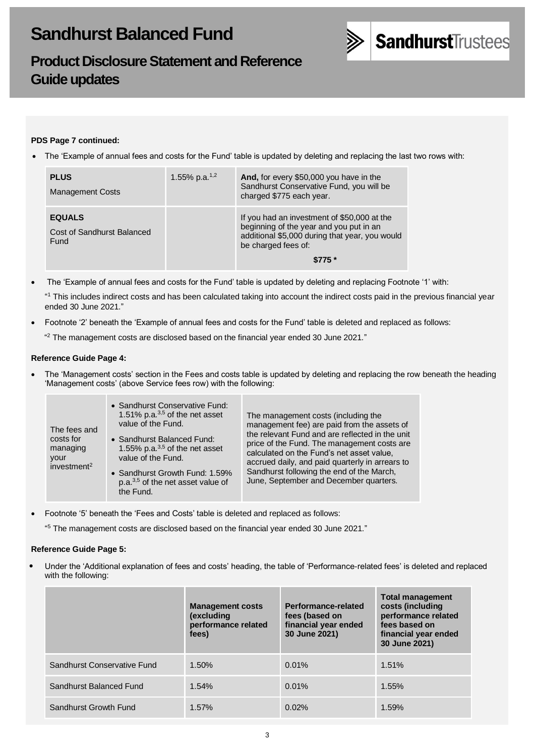

## **Product Disclosure Statement and Reference Guide updates**

## **PDS Page 7 continued:**

• The 'Example of annual fees and costs for the Fund' table is updated by deleting and replacing the last two rows with:

| <b>PLUS</b><br><b>Management Costs</b>              | 1.55% p.a. <sup>1,2</sup> | And, for every \$50,000 you have in the<br>Sandhurst Conservative Fund, you will be<br>charged \$775 each year.                                                            |
|-----------------------------------------------------|---------------------------|----------------------------------------------------------------------------------------------------------------------------------------------------------------------------|
| <b>EQUALS</b><br>Cost of Sandhurst Balanced<br>Fund |                           | If you had an investment of \$50,000 at the<br>beginning of the year and you put in an<br>additional \$5,000 during that year, you would<br>be charged fees of:<br>$$775*$ |

• The 'Example of annual fees and costs for the Fund' table is updated by deleting and replacing Footnote '1' with:

" <sup>1</sup> This includes indirect costs and has been calculated taking into account the indirect costs paid in the previous financial year ended 30 June 2021."

• Footnote '2' beneath the 'Example of annual fees and costs for the Fund' table is deleted and replaced as follows:

 $42$  The management costs are disclosed based on the financial year ended 30 June 2021."

## **Reference Guide Page 4:**

• The 'Management costs' section in the Fees and costs table is updated by deleting and replacing the row beneath the heading 'Management costs' (above Service fees row) with the following:

| The fees and<br>costs for<br>managing<br>your<br>investment <sup>2</sup> | • Sandhurst Conservative Fund:<br>1.51% p.a. $^{3,5}$ of the net asset<br>value of the Fund.<br>• Sandhurst Balanced Fund:<br>1.55% p.a. $3,5$ of the net asset<br>value of the Fund.<br>• Sandhurst Growth Fund: 1.59%<br>p.a. $3,5$ of the net asset value of<br>the Fund. | The management costs (including the<br>management fee) are paid from the assets of<br>the relevant Fund and are reflected in the unit<br>price of the Fund. The management costs are<br>calculated on the Fund's net asset value,<br>accrued daily, and paid quarterly in arrears to<br>Sandhurst following the end of the March,<br>June, September and December quarters. |
|--------------------------------------------------------------------------|------------------------------------------------------------------------------------------------------------------------------------------------------------------------------------------------------------------------------------------------------------------------------|-----------------------------------------------------------------------------------------------------------------------------------------------------------------------------------------------------------------------------------------------------------------------------------------------------------------------------------------------------------------------------|
|--------------------------------------------------------------------------|------------------------------------------------------------------------------------------------------------------------------------------------------------------------------------------------------------------------------------------------------------------------------|-----------------------------------------------------------------------------------------------------------------------------------------------------------------------------------------------------------------------------------------------------------------------------------------------------------------------------------------------------------------------------|

• Footnote '5' beneath the 'Fees and Costs' table is deleted and replaced as follows:

" <sup>5</sup> The management costs are disclosed based on the financial year ended 30 June 2021."

## **Reference Guide Page 5:**

• Under the 'Additional explanation of fees and costs' heading, the table of 'Performance-related fees' is deleted and replaced with the following:

|                             | <b>Management costs</b><br><i>(excluding)</i><br>performance related<br>fees) | Performance-related<br>fees (based on<br>financial year ended<br>30 June 2021) | <b>Total management</b><br>costs (including<br>performance related<br>fees based on<br>financial year ended<br>30 June 2021) |
|-----------------------------|-------------------------------------------------------------------------------|--------------------------------------------------------------------------------|------------------------------------------------------------------------------------------------------------------------------|
| Sandhurst Conservative Fund | 1.50%                                                                         | 0.01%                                                                          | 1.51%                                                                                                                        |
| Sandhurst Balanced Fund     | 1.54%                                                                         | 0.01%                                                                          | 1.55%                                                                                                                        |
| Sandhurst Growth Fund       | 1.57%                                                                         | 0.02%                                                                          | 1.59%                                                                                                                        |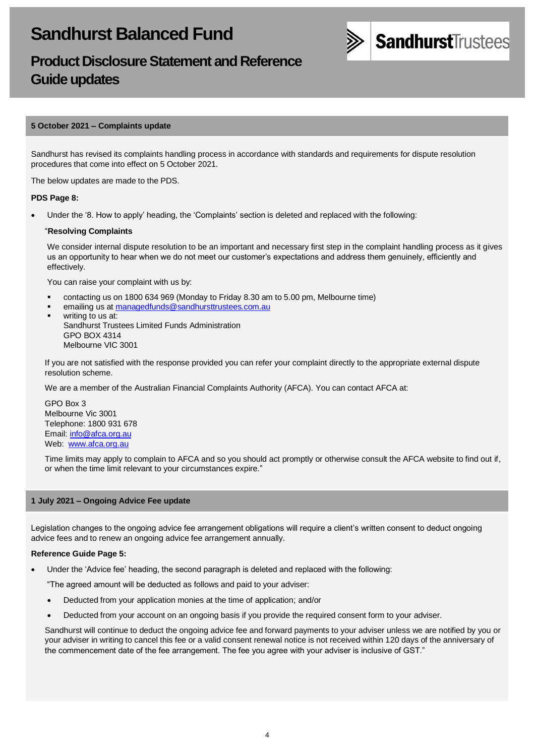

## **Product Disclosure Statement and Reference Guide updates**

## **5 October 2021 – Complaints update**

Sandhurst has revised its complaints handling process in accordance with standards and requirements for dispute resolution procedures that come into effect on 5 October 2021.

The below updates are made to the PDS.

#### **PDS Page 8:**

• Under the '8. How to apply' heading, the 'Complaints' section is deleted and replaced with the following:

#### "**Resolving Complaints**

We consider internal dispute resolution to be an important and necessary first step in the complaint handling process as it gives us an opportunity to hear when we do not meet our customer's expectations and address them genuinely, efficiently and effectively.

You can raise your complaint with us by:

- contacting us on 1800 634 969 (Monday to Friday 8.30 am to 5.00 pm, Melbourne time)
- emailing us a[t managedfunds@sandhursttrustees.com.au](mailto:managedfunds@sandhursttrustees.com.au)
- writing to us at: Sandhurst Trustees Limited Funds Administration GPO BOX 4314 Melbourne VIC 3001

If you are not satisfied with the response provided you can refer your complaint directly to the appropriate external dispute resolution scheme.

We are a member of the Australian Financial Complaints Authority (AFCA). You can contact AFCA at:

GPO Box 3 Melbourne Vic 3001 Telephone: 1800 931 678 Email[: info@afca.org.au](mailto:info@afca.org.au) Web: [www.afca.org.au](https://www.afca.org.au/)

Time limits may apply to complain to AFCA and so you should act promptly or otherwise consult the AFCA website to find out if, or when the time limit relevant to your circumstances expire."

## **1 July 2021 – Ongoing Advice Fee update**

Legislation changes to the ongoing advice fee arrangement obligations will require a client's written consent to deduct ongoing advice fees and to renew an ongoing advice fee arrangement annually.

#### **Reference Guide Page 5:**

• Under the 'Advice fee' heading, the second paragraph is deleted and replaced with the following:

"The agreed amount will be deducted as follows and paid to your adviser:

- Deducted from your application monies at the time of application; and/or
- Deducted from your account on an ongoing basis if you provide the required consent form to your adviser.

Sandhurst will continue to deduct the ongoing advice fee and forward payments to your adviser unless we are notified by you or your adviser in writing to cancel this fee or a valid consent renewal notice is not received within 120 days of the anniversary of the commencement date of the fee arrangement. The fee you agree with your adviser is inclusive of GST."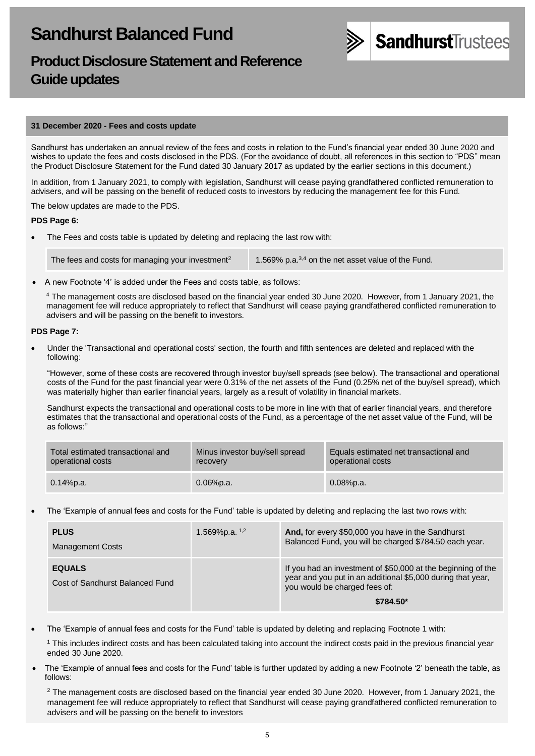

## **Product Disclosure Statement and Reference Guide updates**

#### **31 December 2020 - Fees and costs update**

Sandhurst has undertaken an annual review of the fees and costs in relation to the Fund's financial year ended 30 June 2020 and wishes to update the fees and costs disclosed in the PDS. (For the avoidance of doubt, all references in this section to "PDS" mean the Product Disclosure Statement for the Fund dated 30 January 2017 as updated by the earlier sections in this document.)

In addition, from 1 January 2021, to comply with legislation, Sandhurst will cease paying grandfathered conflicted remuneration to advisers, and will be passing on the benefit of reduced costs to investors by reducing the management fee for this Fund.

The below updates are made to the PDS.

#### **PDS Page 6:**

The Fees and costs table is updated by deleting and replacing the last row with:

The fees and costs for managing your investment<sup>2</sup> 1.569% p.a.<sup>3,4</sup> on the net asset value of the Fund.

• A new Footnote '4' is added under the Fees and costs table, as follows:

<sup>4</sup> The management costs are disclosed based on the financial year ended 30 June 2020. However, from 1 January 2021, the management fee will reduce appropriately to reflect that Sandhurst will cease paying grandfathered conflicted remuneration to advisers and will be passing on the benefit to investors.

#### • **PDS Page 7:**

• Under the 'Transactional and operational costs' section, the fourth and fifth sentences are deleted and replaced with the following:

"However, some of these costs are recovered through investor buy/sell spreads (see below). The transactional and operational costs of the Fund for the past financial year were 0.31% of the net assets of the Fund (0.25% net of the buy/sell spread), which was materially higher than earlier financial years, largely as a result of volatility in financial markets.

Sandhurst expects the transactional and operational costs to be more in line with that of earlier financial years, and therefore estimates that the transactional and operational costs of the Fund, as a percentage of the net asset value of the Fund, will be as follows:"

| Total estimated transactional and | Minus investor buy/sell spread | Equals estimated net transactional and |
|-----------------------------------|--------------------------------|----------------------------------------|
| operational costs                 | recovery                       | operational costs                      |
| $0.14\%$ p.a.                     | $0.06%$ p.a.                   | $0.08\%$ p.a.                          |

• The 'Example of annual fees and costs for the Fund' table is updated by deleting and replacing the last two rows with:

| <b>PLUS</b><br><b>Management Costs</b>           | 1.569%p.a. $1,2$ | And, for every \$50,000 you have in the Sandhurst<br>Balanced Fund, you will be charged \$784.50 each year.                                                               |
|--------------------------------------------------|------------------|---------------------------------------------------------------------------------------------------------------------------------------------------------------------------|
| <b>EQUALS</b><br>Cost of Sandhurst Balanced Fund |                  | If you had an investment of \$50,000 at the beginning of the<br>year and you put in an additional \$5,000 during that year,<br>you would be charged fees of:<br>\$784.50* |

• The 'Example of annual fees and costs for the Fund' table is updated by deleting and replacing Footnote 1 with:

<sup>1</sup> This includes indirect costs and has been calculated taking into account the indirect costs paid in the previous financial year ended 30 June 2020.

• The 'Example of annual fees and costs for the Fund' table is further updated by adding a new Footnote '2' beneath the table, as follows:

<sup>2</sup> The management costs are disclosed based on the financial year ended 30 June 2020. However, from 1 January 2021, the management fee will reduce appropriately to reflect that Sandhurst will cease paying grandfathered conflicted remuneration to advisers and will be passing on the benefit to investors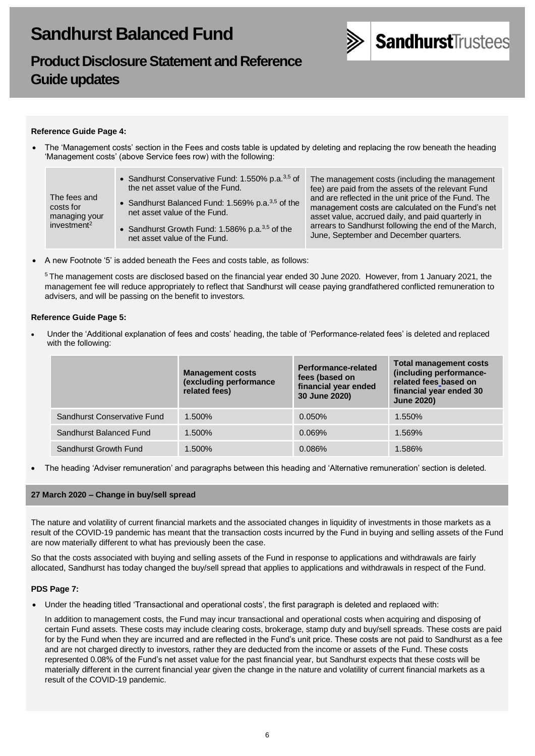

## **Product Disclosure Statement and Reference Guide updates**

## **Reference Guide Page 4:**

• The 'Management costs' section in the Fees and costs table is updated by deleting and replacing the row beneath the heading 'Management costs' (above Service fees row) with the following:

| The fees and<br>costs for<br>managing your<br>investment <sup>2</sup> | • Sandhurst Conservative Fund: 1.550% p.a. <sup>3,5</sup> of<br>the net asset value of the Fund.<br>• Sandhurst Balanced Fund: 1.569% p.a. $3,5$ of the<br>net asset value of the Fund.<br>• Sandhurst Growth Fund: 1.586% p.a. $3,5$ of the<br>net asset value of the Fund. | The management costs (including the management<br>fee) are paid from the assets of the relevant Fund<br>and are reflected in the unit price of the Fund. The<br>management costs are calculated on the Fund's net<br>asset value, accrued daily, and paid quarterly in<br>arrears to Sandhurst following the end of the March,<br>June, September and December quarters. |
|-----------------------------------------------------------------------|------------------------------------------------------------------------------------------------------------------------------------------------------------------------------------------------------------------------------------------------------------------------------|--------------------------------------------------------------------------------------------------------------------------------------------------------------------------------------------------------------------------------------------------------------------------------------------------------------------------------------------------------------------------|
|-----------------------------------------------------------------------|------------------------------------------------------------------------------------------------------------------------------------------------------------------------------------------------------------------------------------------------------------------------------|--------------------------------------------------------------------------------------------------------------------------------------------------------------------------------------------------------------------------------------------------------------------------------------------------------------------------------------------------------------------------|

• A new Footnote '5' is added beneath the Fees and costs table, as follows:

<sup>5</sup> The management costs are disclosed based on the financial year ended 30 June 2020. However, from 1 January 2021, the management fee will reduce appropriately to reflect that Sandhurst will cease paying grandfathered conflicted remuneration to advisers, and will be passing on the benefit to investors.

#### **Reference Guide Page 5:**

• Under the 'Additional explanation of fees and costs' heading, the table of 'Performance-related fees' is deleted and replaced with the following:

|                             | <b>Management costs</b><br>(excluding performance<br>related fees) | Performance-related<br>fees (based on<br>financial year ended<br>30 June 2020) | <b>Total management costs</b><br>(including performance-<br>related fees based on<br>financial year ended 30<br><b>June 2020)</b> |
|-----------------------------|--------------------------------------------------------------------|--------------------------------------------------------------------------------|-----------------------------------------------------------------------------------------------------------------------------------|
| Sandhurst Conservative Fund | 1.500%                                                             | 0.050%                                                                         | 1.550%                                                                                                                            |
| Sandhurst Balanced Fund     | 1.500%                                                             | 0.069%                                                                         | 1.569%                                                                                                                            |
| Sandhurst Growth Fund       | 1.500%                                                             | 0.086%                                                                         | 1.586%                                                                                                                            |

• The heading 'Adviser remuneration' and paragraphs between this heading and 'Alternative remuneration' section is deleted.

#### **27 March 2020 – Change in buy/sell spread**

The nature and volatility of current financial markets and the associated changes in liquidity of investments in those markets as a result of the COVID-19 pandemic has meant that the transaction costs incurred by the Fund in buying and selling assets of the Fund are now materially different to what has previously been the case.

So that the costs associated with buying and selling assets of the Fund in response to applications and withdrawals are fairly allocated, Sandhurst has today changed the buy/sell spread that applies to applications and withdrawals in respect of the Fund.

## **PDS Page 7:**

• Under the heading titled 'Transactional and operational costs', the first paragraph is deleted and replaced with:

In addition to management costs, the Fund may incur transactional and operational costs when acquiring and disposing of certain Fund assets. These costs may include clearing costs, brokerage, stamp duty and buy/sell spreads. These costs are paid for by the Fund when they are incurred and are reflected in the Fund's unit price. These costs are not paid to Sandhurst as a fee and are not charged directly to investors, rather they are deducted from the income or assets of the Fund. These costs represented 0.08% of the Fund's net asset value for the past financial year, but Sandhurst expects that these costs will be materially different in the current financial year given the change in the nature and volatility of current financial markets as a result of the COVID-19 pandemic.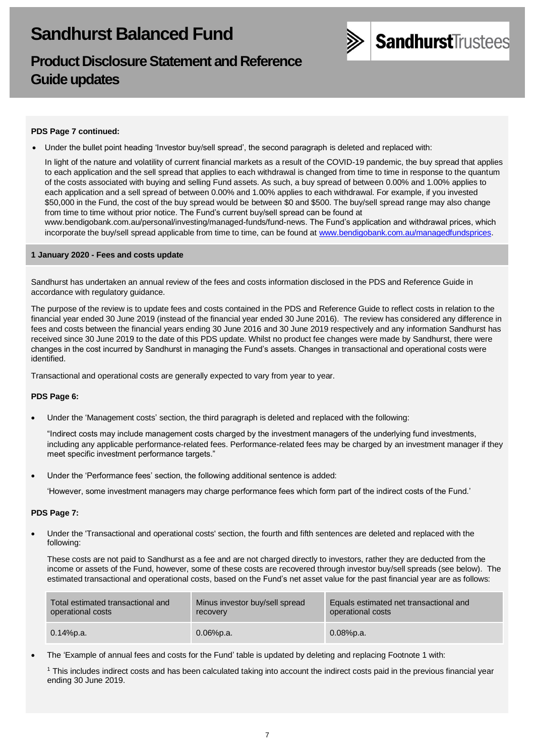

## **Product Disclosure Statement and Reference Guide updates**

## **PDS Page 7 continued:**

• Under the bullet point heading 'Investor buy/sell spread', the second paragraph is deleted and replaced with:

In light of the nature and volatility of current financial markets as a result of the COVID-19 pandemic, the buy spread that applies to each application and the sell spread that applies to each withdrawal is changed from time to time in response to the quantum of the costs associated with buying and selling Fund assets. As such, a buy spread of between 0.00% and 1.00% applies to each application and a sell spread of between 0.00% and 1.00% applies to each withdrawal. For example, if you invested \$50,000 in the Fund, the cost of the buy spread would be between \$0 and \$500. The buy/sell spread range may also change from time to time without prior notice. The Fund's current buy/sell spread can be found at

[www.bendigobank.com.au/personal/investing/managed-funds/fund-news.](https://www.bendigobank.com.au/personal/investing/managed-funds/fund-news/) The Fund's application and withdrawal prices, which incorporate the buy/sell spread applicable from time to time, can be found at [www.bendigobank.com.au/managedfundsprices.](https://www.bendigobank.com.au/managedfundsprices)

#### **1 January 2020 - Fees and costs update**

Sandhurst has undertaken an annual review of the fees and costs information disclosed in the PDS and Reference Guide in accordance with regulatory guidance.

The purpose of the review is to update fees and costs contained in the PDS and Reference Guide to reflect costs in relation to the financial year ended 30 June 2019 (instead of the financial year ended 30 June 2016). The review has considered any difference in fees and costs between the financial years ending 30 June 2016 and 30 June 2019 respectively and any information Sandhurst has received since 30 June 2019 to the date of this PDS update. Whilst no product fee changes were made by Sandhurst, there were changes in the cost incurred by Sandhurst in managing the Fund's assets. Changes in transactional and operational costs were identified.

Transactional and operational costs are generally expected to vary from year to year.

## **PDS Page 6:**

• Under the 'Management costs' section, the third paragraph is deleted and replaced with the following:

"Indirect costs may include management costs charged by the investment managers of the underlying fund investments, including any applicable performance-related fees. Performance-related fees may be charged by an investment manager if they meet specific investment performance targets."

Under the 'Performance fees' section, the following additional sentence is added:

'However, some investment managers may charge performance fees which form part of the indirect costs of the Fund.'

## • **PDS Page 7:**

• Under the 'Transactional and operational costs' section, the fourth and fifth sentences are deleted and replaced with the following:

These costs are not paid to Sandhurst as a fee and are not charged directly to investors, rather they are deducted from the income or assets of the Fund, however, some of these costs are recovered through investor buy/sell spreads (see below). The estimated transactional and operational costs, based on the Fund's net asset value for the past financial year are as follows:

| Total estimated transactional and | Minus investor buy/sell spread | Equals estimated net transactional and |
|-----------------------------------|--------------------------------|----------------------------------------|
| operational costs                 | recovery                       | operational costs                      |
| 0.14%p.a.                         | $0.06\%$ p.a.                  | $0.08%$ p.a.                           |

• The 'Example of annual fees and costs for the Fund' table is updated by deleting and replacing Footnote 1 with:

<sup>1</sup> This includes indirect costs and has been calculated taking into account the indirect costs paid in the previous financial year ending 30 June 2019.